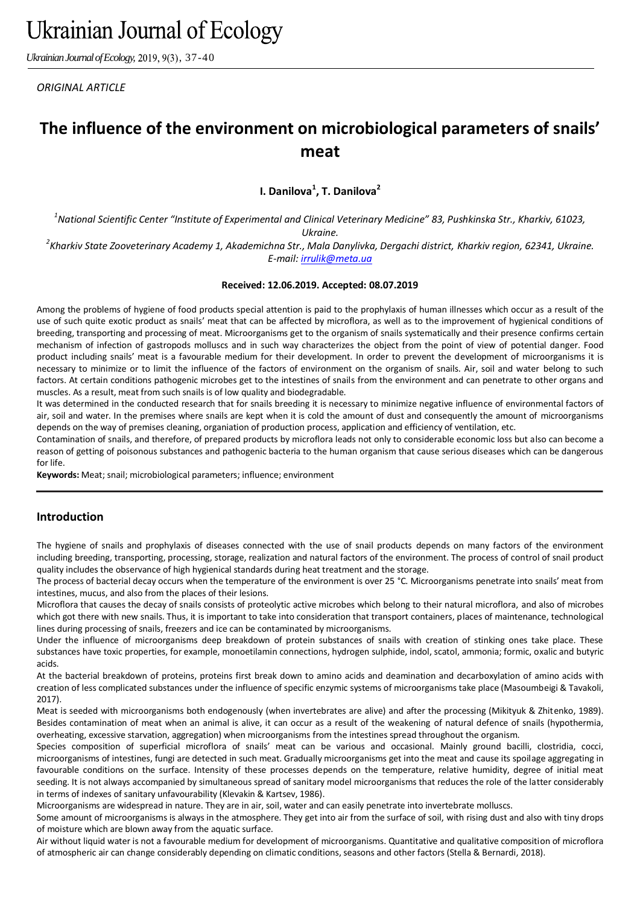*Ukrainian Journal of Ecology, 2019, 9(3), 37-40* 

*ORIGINAL ARTICLE*

# **The influence of the environment on microbiological parameters of snails' meat**

**I. Danilova<sup>1</sup> , T. Danilova<sup>2</sup>**

*1 National Scientific Center "Institute of Experimental and Clinical Veterinary Medicine" 83, Pushkinska Str., Kharkiv, 61023, Ukraine.*

*2 Kharkiv State Zooveterinary Academy 1, Akademichna Str., Mala Danylivka, Dergachi district, Kharkiv region, 62341, Ukraine. E-mail: [irrulik@meta.ua](mailto:irrulik@meta.ua)*

#### **Received: 12.06.2019. Accepted: 08.07.2019**

Among the problems of hygiene of food products special attention is paid to the prophylaxis of human illnesses which occur as a result of the use of such quite exotic product as snails' meat that can be affected by microflora, as well as to the improvement of hygienical conditions of breeding, transporting and processing of meat. Microorganisms get to the organism of snails systematically and their presence confirms certain mechanism of infection of gastropods molluscs and in such way characterizes the object from the point of view of potential danger. Food product including snails' meat is a favourable medium for their development. In order to prevent the development of microorganisms it is necessary to minimize or to limit the influence of the factors of environment on the organism of snails. Air, soil and water belong to such factors. At certain conditions pathogenic microbes get to the intestines of snails from the environment and can penetrate to other organs and muscles. As a result, meat from such snails is of low quality and biodegradable.

It was determined in the conducted research that for snails breeding it is necessary to minimize negative influence of environmental factors of air, soil and water. In the premises where snails are kept when it is cold the amount of dust and consequently the amount of microorganisms depends on the way of premises cleaning, organiation of production process, application and efficiency of ventilation, etc.

Contamination of snails, and therefore, of prepared products by microflora leads not only to considerable economic loss but also can become a reason of getting of poisonous substances and pathogenic bacteria to the human organism that cause serious diseases which can be dangerous for life.

**Keywords:** Meat; snail; microbiological parameters; influence; environment

# **Introduction**

The hygiene of snails and prophylaxis of diseases connected with the use of snail products depends on many factors of the environment including breeding, transporting, processing, storage, realization and natural factors of the environment. The process of control of snail product quality includes the observance of high hygienical standards during heat treatment and the storage.

The process of bacterial decay occurs when the temperature of the environment is over 25 °C. Microorganisms penetrate into snails' meat from intestines, mucus, and also from the places of their lesions.

Microflora that causes the decay of snails consists of proteolytic active microbes which belong to their natural microflora, and also of microbes which got there with new snails. Thus, it is important to take into consideration that transport containers, places of maintenance, technological lines during processing of snails, freezers and ice can be contaminated by microorganisms.

Under the influence of microorganisms deep breakdown of protein substances of snails with creation of stinking ones take place. These substances have toxic properties, for example, monoetilamin connections, hydrogen sulphide, indol, scatol, ammonia; formic, oxalic and butyric acids.

At the bacterial breakdown of proteins, proteins first break down to amino acids and deamination and decarboxylation of amino acids with creation of less complicated substances under the influence of specific enzymic systems of microorganisms take place (Masoumbeigi & Tavakoli, 2017).

Meat is seeded with microorganisms both endogenously (when invertebrates are alive) and after the processing (Mikityuk & Zhitenko, 1989). Besides contamination of meat when an animal is alive, it can occur as a result of the weakening of natural defence of snails (hypothermia, overheating, excessive starvation, aggregation) when microorganisms from the intestines spread throughout the organism.

Species composition of superficial microflora of snails' meat can be various and occasional. Mainly ground bacilli, clostridia, cocci, microorganisms of intestines, fungi are detected in such meat. Gradually microorganisms get into the meat and cause its spoilage aggregating in favourable conditions on the surface. Intensity of these processes depends on the temperature, relative humidity, degree of initial meat seeding. It is not always accompanied by simultaneous spread of sanitary model microorganisms that reduces the role of the latter considerably in terms of indexes of sanitary unfavourability (Klevakin & Kartsev, 1986).

Microorganisms are widespread in nature. They are in air, soil, water and can easily penetrate into invertebrate molluscs.

Some amount of microorganisms is always in the atmosphere. They get into air from the surface of soil, with rising dust and also with tiny drops of moisture which are blown away from the aquatic surface.

Air without liquid water is not a favourable medium for development of microorganisms. Quantitative and qualitative composition of microflora of atmospheric air can change considerably depending on climatic conditions, seasons and other factors (Stella & Bernardi, 2018).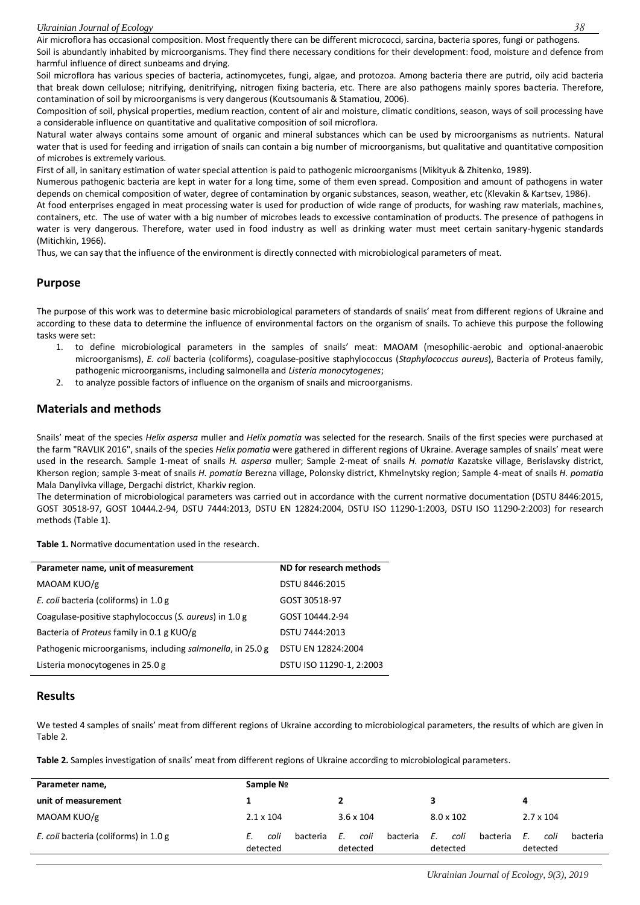Air microflora has occasional composition. Most frequently there can be different micrococci, sarcina, bacteria spores, fungi or pathogens. Soil is abundantly inhabited by microorganisms. They find there necessary conditions for their development: food, moisture and defence from harmful influence of direct sunbeams and drying.

Soil microflora has various species of bacteria, actinomycetes, fungi, algae, and protozoa. Among bacteria there are putrid, oily acid bacteria that break down cellulose; nitrifying, denitrifying, nitrogen fixing bacteria, etc. There are also pathogens mainly spores bacteria. Therefore, contamination of soil by microorganisms is very dangerous (Koutsoumanis & Stamatiou, 2006).

Composition of soil, physical properties, medium reaction, content of air and moisture, climatic conditions, season, ways of soil processing have a considerable influence on quantitative and qualitative composition of soil microflora.

Natural water always contains some amount of organic and mineral substances which can be used by microorganisms as nutrients. Natural water that is used for feeding and irrigation of snails can contain a big number of microorganisms, but qualitative and quantitative composition of microbes is extremely various.

First of all, in sanitary estimation of water special attention is paid to pathogenic microorganisms (Mikityuk & Zhitenko, 1989).

Numerous pathogenic bacteria are kept in water for a long time, some of them even spread. Composition and amount of pathogens in water depends on chemical composition of water, degree of contamination by organic substances, season, weather, etc (Klevakin & Kartsev, 1986).

At food enterprises engaged in meat processing water is used for production of wide range of products, for washing raw materials, machines, containers, etc. The use of water with a big number of microbes leads to excessive contamination of products. The presence of pathogens in water is very dangerous. Therefore, water used in food industry as well as drinking water must meet certain sanitary-hygenic standards (Mitichkin, 1966).

Thus, we can say that the influence of the environment is directly connected with microbiological parameters of meat.

# **Purpose**

The purpose of this work was to determine basic microbiological parameters of standards of snails' meat from different regions of Ukraine and according to these data to determine the influence of environmental factors on the organism of snails. To achieve this purpose the following tasks were set:

- 1. to define microbiological parameters in the samples of snails' meat: MAOAM (mesophilic-aerobic and optional-anaerobic microorganisms), *E. coli* bacteria (coliforms), coagulase-positive staphylococcus (*Staphylococcus aureus*), Bacteria of Proteus family, pathogenic microorganisms, including salmonella and *Listeria monocytogenes*;
- 2. to analyze possible factors of influence on the organism of snails and microorganisms.

# **Materials and methods**

Snails' meat of the species *Helix aspersa* muller and *Helix pomatia* was selected for the research. Snails of the first species were purchased at the farm "RAVLIK 2016", snails of the species *Helix pomatia* were gathered in different regions of Ukraine. Average samples of snails' meat were used in the research. Sample 1-meat of snails *H. aspersa* muller; Sample 2-meat of snails *H. pomatia* Kazatske village, Berislavsky district, Kherson region; sample 3-meat of snails *H. pomatia* Berezna village, Polonsky district, Khmelnytsky region; Sample 4-meat of snails *H. pomatia* Mala Danylivka village, Dergachi district, Kharkiv region.

The determination of microbiological parameters was carried out in accordance with the current normative documentation (DSTU 8446:2015, GOST 30518-97, GOST 10444.2-94, DSTU 7444:2013, DSTU EN 12824:2004, DSTU ISO 11290-1:2003, DSTU ISO 11290-2:2003) for research methods (Table 1).

**Table 1.** Normative documentation used in the research.

| Parameter name, unit of measurement                        | ND for research methods  |  |
|------------------------------------------------------------|--------------------------|--|
| MAOAM KUO/g                                                | DSTU 8446:2015           |  |
| E. coli bacteria (coliforms) in 1.0 g                      | GOST 30518-97            |  |
| Coagulase-positive staphylococcus (S. aureus) in 1.0 g     | GOST 10444.2-94          |  |
| Bacteria of Proteus family in 0.1 g KUO/g                  | DSTU 7444:2013           |  |
| Pathogenic microorganisms, including salmonella, in 25.0 g | DSTU EN 12824:2004       |  |
| Listeria monocytogenes in 25.0 g                           | DSTU ISO 11290-1, 2:2003 |  |

#### **Results**

We tested 4 samples of snails' meat from different regions of Ukraine according to microbiological parameters, the results of which are given in Table 2.

**Table 2.** Samples investigation of snails' meat from different regions of Ukraine according to microbiological parameters.

| Parameter name,                       | Sample No                    |                                    |                                    |                                    |
|---------------------------------------|------------------------------|------------------------------------|------------------------------------|------------------------------------|
| unit of measurement                   |                              |                                    | 3.                                 | 4                                  |
| MAOAM KUO/g                           | $2.1 \times 104$             | $3.6 \times 104$                   | $8.0 \times 102$                   | $2.7 \times 104$                   |
| E. coli bacteria (coliforms) in 1.0 g | bacteria<br>coli<br>detected | coli<br>bacteria<br>Ε.<br>detected | coli<br>E.<br>bacteria<br>detected | Ε.<br>coli<br>bacteria<br>detected |

*Ukrainian Journal of Ecology, 9(3), 2019*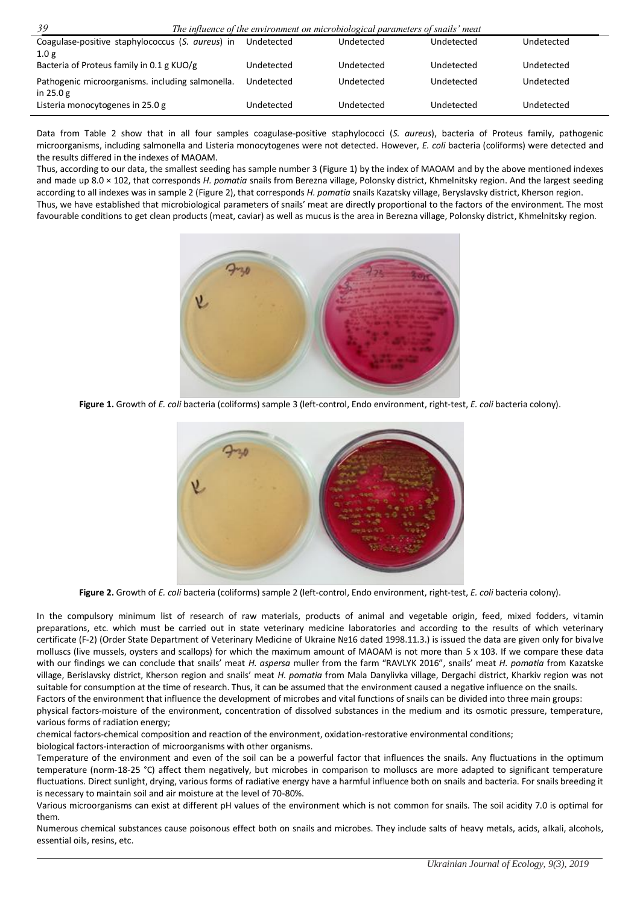| 39<br>The influence of the environment on microbiological parameters of snails' meat |            |            |            |            |  |  |
|--------------------------------------------------------------------------------------|------------|------------|------------|------------|--|--|
| Coagulase-positive staphylococcus (S. aureus) in                                     | Undetected | Undetected | Undetected | Undetected |  |  |
| 1.0 <sub>g</sub>                                                                     |            |            |            |            |  |  |
| Bacteria of Proteus family in 0.1 g KUO/g                                            | Undetected | Undetected | Undetected | Undetected |  |  |
| Pathogenic microorganisms. including salmonella.                                     | Undetected | Undetected | Undetected | Undetected |  |  |
| in $25.0 g$<br>Listeria monocytogenes in 25.0 g                                      | Undetected | Undetected | Undetected | Undetected |  |  |

Data from Table 2 show that in all four samples coagulase-positive staphylococci (*S. aureus*), bacteria of Proteus family, pathogenic microorganisms, including salmonella and Listeria monocytogenes were not detected. However, *E. coli* bacteria (coliforms) were detected and the results differed in the indexes of MAOAM.

Thus, according to our data, the smallest seeding has sample number 3 (Figure 1) by the index of MAOAM and by the above mentioned indexes and made up 8.0 × 102, that corresponds *H. pomatia* snails from Berezna village, Polonsky district, Khmelnitsky region. And the largest seeding according to all indexes was in sample 2 (Figure 2), that corresponds *H. pomatia* snails Kazatsky village, Beryslavsky district, Kherson region. Thus, we have established that microbiological parameters of snails' meat are directly proportional to the factors of the environment. The most favourable conditions to get clean products (meat, caviar) as well as mucus is the area in Berezna village, Polonsky district, Khmelnitsky region.



**Figure 1.** Growth of *E. coli* bacteria (coliforms) sample 3 (left-control, Endo environment, right-test, *E. coli* bacteria colony).



**Figure 2.** Growth of *E. coli* bacteria (coliforms) sample 2 (left-control, Endo environment, right-test, *E. coli* bacteria colony).

In the compulsory minimum list of research of raw materials, products of animal and vegetable origin, feed, mixed fodders, vitamin preparations, etc. which must be carried out in state veterinary medicine laboratories and according to the results of which veterinary certificate (F-2) (Order State Department of Veterinary Medicine of Ukraine №16 dated 1998.11.3.) is issued the data are given only for bivalve molluscs (live mussels, oysters and scallops) for which the maximum amount of MAOAM is not more than 5 x 103. If we compare these data with our findings we can conclude that snails' meat *H. aspersa* muller from the farm "RAVLYK 2016", snails' meat *H. pomatia* from Kazatske village, Berislavsky district, Kherson region and snails' meat *H. pomatia* from Mala Danylivka village, Dergachi district, Kharkiv region was not suitable for consumption at the time of research. Thus, it can be assumed that the environment caused a negative influence on the snails.

Factors of the environment that influence the development of microbes and vital functions of snails can be divided into three main groups: physical factors-moisture of the environment, concentration of dissolved substances in the medium and its osmotic pressure, temperature, various forms of radiation energy;

chemical factors-chemical composition and reaction of the environment, oxidation-restorative environmental conditions; biological factors-interaction of microorganisms with other organisms.

Temperature of the environment and even of the soil can be a powerful factor that influences the snails. Any fluctuations in the optimum temperature (norm-18-25 °C) affect them negatively, but microbes in comparison to molluscs are more adapted to significant temperature fluctuations. Direct sunlight, drying, various forms of radiative energy have a harmful influence both on snails and bacteria. For snails breeding it is necessary to maintain soil and air moisture at the level of 70-80%.

Various microorganisms can exist at different pH values of the environment which is not common for snails. The soil acidity 7.0 is optimal for them.

Numerous chemical substances cause poisonous effect both on snails and microbes. They include salts of heavy metals, acids, alkali, alcohols, essential oils, resins, etc.